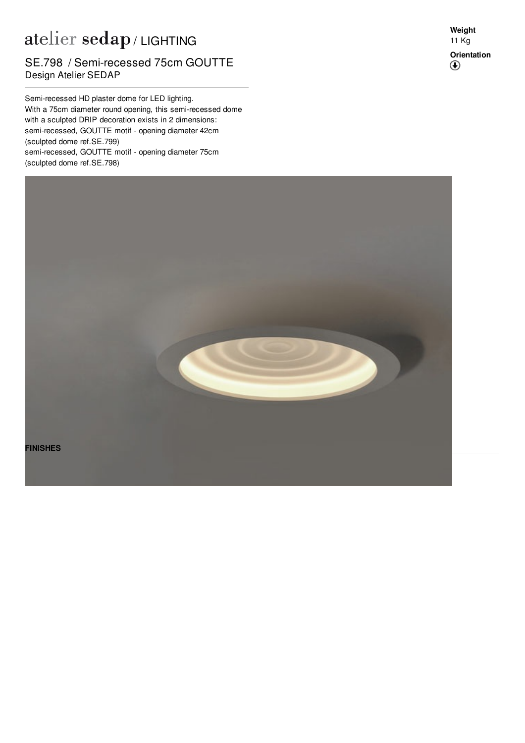## atelier sedap / LIGHTING

## Design Atelier SEDAP SE.798 / Semi-recessed 75cm GOUTTE

Semi-recessed HD plaster dome for LED lighting. With a 75cm diameter round opening, this semi-recessed dome with a sculpted DRIP decoration exists in 2 dimensions: semi-recessed, GOUTTE motif - opening diameter 42cm (sculpted dome ref[.SE.799](http://www.sedap.com/lighting/fr/produits/view/SE.799)) semi-recessed, GOUTTE motif - opening diameter 75cm (sculpted dome ref[.SE.798](http://www.sedap.com/lighting/fr/produits/view/SE.798))

**Weight** 11 Kg **Orientation** $^{\circledR}$